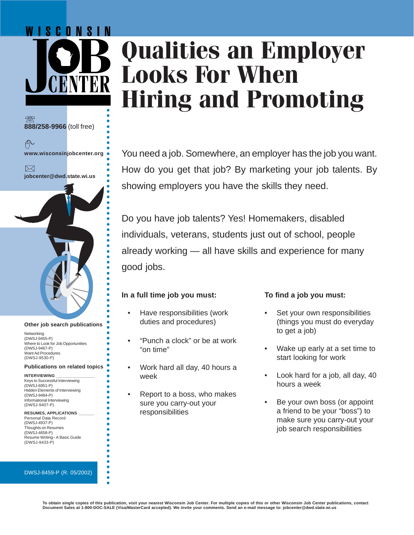# **Qualities an Employer Looks For When Hiring and Promoting**

You need a job. Somewhere, an employer has the job you want. How do you get that job? By marketing your job talents. By showing employers you have the skills they need.

Do you have job talents? Yes! Homemakers, disabled individuals, veterans, students just out of school, people already working — all have skills and experience for many good jobs.

## **In a full time job you must:**

○○○○○○○○○○○○○○○○○○○○○○○○○○○○○○○○○○○○○○○○○○○○

**888/258-9966** (toll free)

千

 $\bowtie$ 

WISCONSIN

**www.wisconsinjobcenter.org**

**jobcenter@dwd.state.wi.us**

**Other job search publications**

**Publications on related topics**

Where to Look for Job Opportunities

Hidden Elements of Interviewing

**RESUMES, APPLICATIONS \_\_\_\_\_\_\_** Personal Data Record (DWSJ-4937-P) Thoughts on Resumes (DWSJ-4658-P)

Resume Writing– A Basic Guide

**Networking** (DWSJ-9455-P)

(DWSJ-9467-P) Want Ad Procedures (DWSJ-9530-P)

**INTERVIEWING \_\_\_\_\_\_\_\_\_\_\_\_\_\_\_\_\_** Keys to Successful Interviewing

(DWSJ-6951-P)

(DWSJ-9484-P) Informational Interviewing (DWSJ-9407-P)

(DWSJ-9433-P)

○○○○○○○○○○○○○○○○○○○○○○○○○○

ä ŏ  $\bullet$ ä ŏ

- Have responsibilities (work duties and procedures)
- "Punch a clock" or be at work "on time"
- Work hard all day, 40 hours a week
- Report to a boss, who makes sure you carry-out your responsibilities

## **To find a job you must:**

- Set your own responsibilities (things you must do everyday to get a job)
- Wake up early at a set time to start looking for work
- Look hard for a job, all day, 40 hours a week
- Be your own boss (or appoint a friend to be your "boss") to make sure you carry-out your job search responsibilities

DWSJ-8459-P (R. 05/2002)

#### **To obtain single copies of this publication, visit your nearest Wisconsin Job Center. For multiple copies of this or other Wisconsin Job Center publications, contact Document Sales at 1-800-DOC-SALE (Visa/MasterCard accepted). We invite your comments. Send an e-mail message to: jobcenter@dwd.state.wi.us**